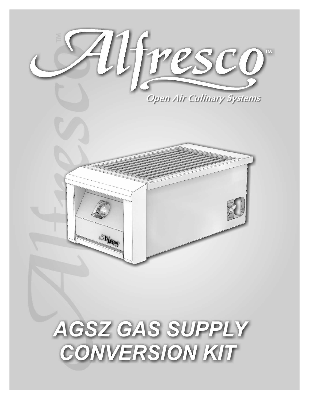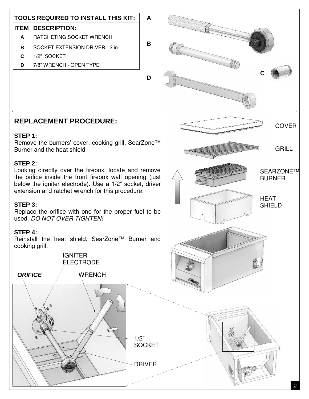|                                                                                                                                                                                                                                           | <b>TOOLS REQUIRED TO INSTALL THIS KIT:</b> | A                                      |       |                              |
|-------------------------------------------------------------------------------------------------------------------------------------------------------------------------------------------------------------------------------------------|--------------------------------------------|----------------------------------------|-------|------------------------------|
| <b>ITEM</b>                                                                                                                                                                                                                               | <b>DESCRIPTION:</b>                        |                                        |       |                              |
| A                                                                                                                                                                                                                                         | RATCHETING SOCKET WRENCH                   |                                        |       |                              |
| B                                                                                                                                                                                                                                         | SOCKET EXTENSION DRIVER - 3 in.            | B                                      |       |                              |
| $\mathbf c$                                                                                                                                                                                                                               | 1/2" SOCKET                                |                                        |       |                              |
| D                                                                                                                                                                                                                                         | 7/8" WRENCH - OPEN TYPE                    |                                        |       |                              |
|                                                                                                                                                                                                                                           |                                            | D                                      |       |                              |
| <b>REPLACEMENT PROCEDURE:</b>                                                                                                                                                                                                             |                                            |                                        |       | <b>COVER</b>                 |
| STEP 1:<br>Remove the burners' cover, cooking grill, SearZone™<br>Burner and the heat shield                                                                                                                                              |                                            |                                        |       | <b>GRILL</b>                 |
| STEP 2:<br>Looking directly over the firebox, locate and remove<br>the orifice inside the front firebox wall opening (just<br>below the igniter electrode). Use a 1/2" socket, driver<br>extension and ratchet wrench for this procedure. |                                            |                                        |       | SEARZONE™<br><b>BURNER</b>   |
| STEP 3:<br>Replace the orifice with one for the proper fuel to be<br>used. DO NOT OVER TIGHTEN!                                                                                                                                           |                                            |                                        |       | <b>HEAT</b><br><b>SHIELD</b> |
| STEP 4:<br>Reinstall the heat shield, SearZone™ Burner and<br>cooking grill.                                                                                                                                                              |                                            |                                        |       |                              |
| <b>IGNITER</b><br><b>ELECTRODE</b>                                                                                                                                                                                                        |                                            |                                        |       |                              |
| <b>ORIFICE</b>                                                                                                                                                                                                                            | <b>WRENCH</b>                              |                                        | ORAND |                              |
|                                                                                                                                                                                                                                           |                                            | 1/2"<br><b>SOCKET</b><br><b>DRIVER</b> |       |                              |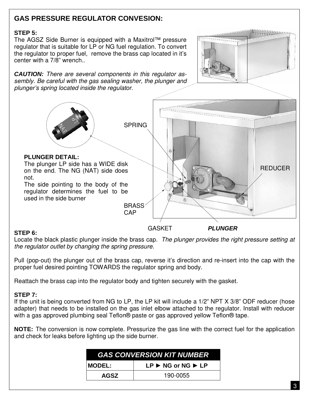## **GAS PRESSURE REGULATOR CONVESION:**

## **STEP 5:**

The AGSZ Side Burner is equipped with a Maxitrol™ pressure regulator that is suitable for LP or NG fuel regulation. To convert the regulator to proper fuel, remove the brass cap located in it's center with a 7/8" wrench..

**CAUTION:** There are several components in this regulator assembly. Be careful with the gas sealing washer, the plunger and plunger's spring located inside the regulator.



GASKET **PLUNGER** 

## **STEP 6:**

not.

Locate the black plastic plunger inside the brass cap. The plunger provides the right pressure setting at the regulator outlet by changing the spring pressure.

Pull (pop-out) the plunger out of the brass cap, reverse it's direction and re-insert into the cap with the proper fuel desired pointing TOWARDS the regulator spring and body.

Reattach the brass cap into the regulator body and tighten securely with the gasket.

## **STEP 7:**

If the unit is being converted from NG to LP, the LP kit will include a 1/2" NPT X 3/8" ODF reducer (hose adapter) that needs to be installed on the gas inlet elbow attached to the regulator. Install with reducer with a gas approved plumbing seal Teflon® paste or gas approved yellow Teflon® tape.

**NOTE:** The conversion is now complete. Pressurize the gas line with the correct fuel for the application and check for leaks before lighting up the side burner.

| <b>GAS CONVERSION KIT NUMBER</b> |                                                  |  |  |  |
|----------------------------------|--------------------------------------------------|--|--|--|
| <b>MODEL:</b>                    | $LP \triangleright$ NG or NG $\triangleright$ LP |  |  |  |
| <b>AGSZ</b>                      | 190-0055                                         |  |  |  |